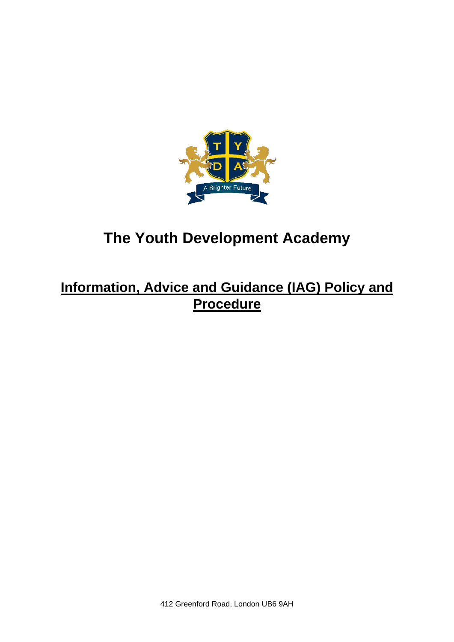

# **The Youth Development Academy**

## **Information, Advice and Guidance (IAG) Policy and Procedure**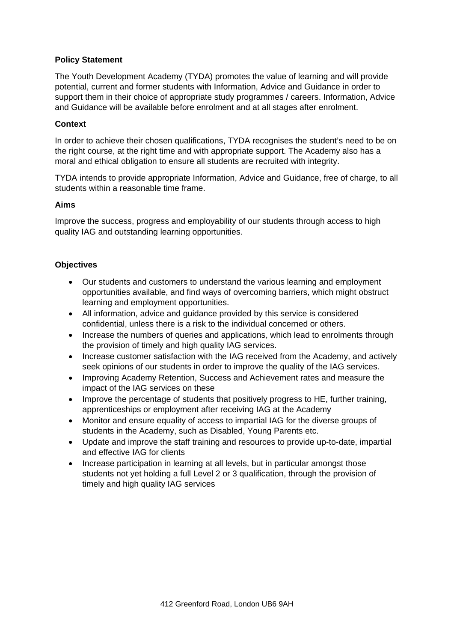## **Policy Statement**

The Youth Development Academy (TYDA) promotes the value of learning and will provide potential, current and former students with Information, Advice and Guidance in order to support them in their choice of appropriate study programmes / careers. Information, Advice and Guidance will be available before enrolment and at all stages after enrolment.

#### **Context**

In order to achieve their chosen qualifications, TYDA recognises the student's need to be on the right course, at the right time and with appropriate support. The Academy also has a moral and ethical obligation to ensure all students are recruited with integrity.

TYDA intends to provide appropriate Information, Advice and Guidance, free of charge, to all students within a reasonable time frame.

#### **Aims**

Improve the success, progress and employability of our students through access to high quality IAG and outstanding learning opportunities.

#### **Objectives**

- Our students and customers to understand the various learning and employment opportunities available, and find ways of overcoming barriers, which might obstruct learning and employment opportunities.
- All information, advice and guidance provided by this service is considered confidential, unless there is a risk to the individual concerned or others.
- Increase the numbers of queries and applications, which lead to enrolments through the provision of timely and high quality IAG services.
- Increase customer satisfaction with the IAG received from the Academy, and actively seek opinions of our students in order to improve the quality of the IAG services.
- Improving Academy Retention, Success and Achievement rates and measure the impact of the IAG services on these
- Improve the percentage of students that positively progress to HE, further training, apprenticeships or employment after receiving IAG at the Academy
- Monitor and ensure equality of access to impartial IAG for the diverse groups of students in the Academy, such as Disabled, Young Parents etc.
- Update and improve the staff training and resources to provide up-to-date, impartial and effective IAG for clients
- Increase participation in learning at all levels, but in particular amongst those students not yet holding a full Level 2 or 3 qualification, through the provision of timely and high quality IAG services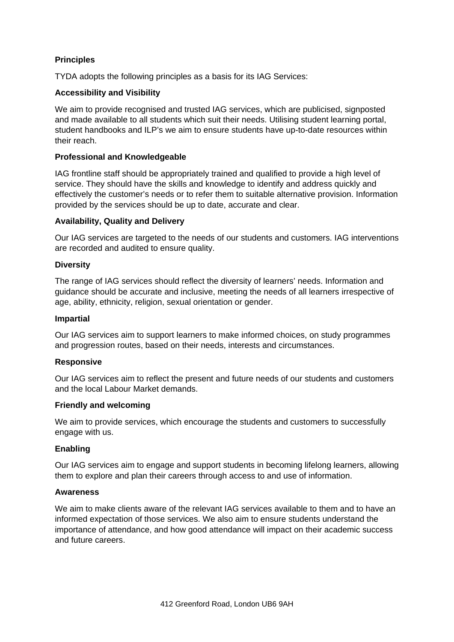## **Principles**

TYDA adopts the following principles as a basis for its IAG Services:

## **Accessibility and Visibility**

We aim to provide recognised and trusted IAG services, which are publicised, signposted and made available to all students which suit their needs. Utilising student learning portal, student handbooks and ILP's we aim to ensure students have up-to-date resources within their reach.

## **Professional and Knowledgeable**

IAG frontline staff should be appropriately trained and qualified to provide a high level of service. They should have the skills and knowledge to identify and address quickly and effectively the customer's needs or to refer them to suitable alternative provision. Information provided by the services should be up to date, accurate and clear.

## **Availability, Quality and Delivery**

Our IAG services are targeted to the needs of our students and customers. IAG interventions are recorded and audited to ensure quality.

#### **Diversity**

The range of IAG services should reflect the diversity of learners' needs. Information and guidance should be accurate and inclusive, meeting the needs of all learners irrespective of age, ability, ethnicity, religion, sexual orientation or gender.

#### **Impartial**

Our IAG services aim to support learners to make informed choices, on study programmes and progression routes, based on their needs, interests and circumstances.

## **Responsive**

Our IAG services aim to reflect the present and future needs of our students and customers and the local Labour Market demands.

#### **Friendly and welcoming**

We aim to provide services, which encourage the students and customers to successfully engage with us.

## **Enabling**

Our IAG services aim to engage and support students in becoming lifelong learners, allowing them to explore and plan their careers through access to and use of information.

#### **Awareness**

We aim to make clients aware of the relevant IAG services available to them and to have an informed expectation of those services. We also aim to ensure students understand the importance of attendance, and how good attendance will impact on their academic success and future careers.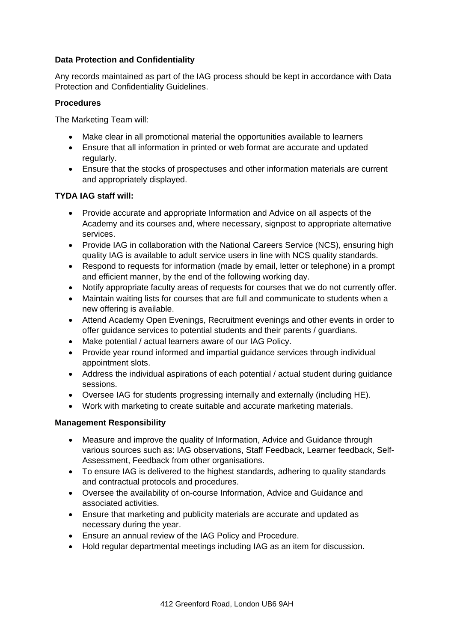## **Data Protection and Confidentiality**

Any records maintained as part of the IAG process should be kept in accordance with Data Protection and Confidentiality Guidelines.

## **Procedures**

The Marketing Team will:

- Make clear in all promotional material the opportunities available to learners
- Ensure that all information in printed or web format are accurate and updated regularly.
- Ensure that the stocks of prospectuses and other information materials are current and appropriately displayed.

## **TYDA IAG staff will:**

- Provide accurate and appropriate Information and Advice on all aspects of the Academy and its courses and, where necessary, signpost to appropriate alternative services.
- Provide IAG in collaboration with the National Careers Service (NCS), ensuring high quality IAG is available to adult service users in line with NCS quality standards.
- Respond to requests for information (made by email, letter or telephone) in a prompt and efficient manner, by the end of the following working day.
- Notify appropriate faculty areas of requests for courses that we do not currently offer.
- Maintain waiting lists for courses that are full and communicate to students when a new offering is available.
- Attend Academy Open Evenings, Recruitment evenings and other events in order to offer guidance services to potential students and their parents / guardians.
- Make potential / actual learners aware of our IAG Policy.
- Provide year round informed and impartial guidance services through individual appointment slots.
- Address the individual aspirations of each potential / actual student during guidance sessions.
- Oversee IAG for students progressing internally and externally (including HE).
- Work with marketing to create suitable and accurate marketing materials.

## **Management Responsibility**

- Measure and improve the quality of Information, Advice and Guidance through various sources such as: IAG observations, Staff Feedback, Learner feedback, Self-Assessment, Feedback from other organisations.
- To ensure IAG is delivered to the highest standards, adhering to quality standards and contractual protocols and procedures.
- Oversee the availability of on-course Information, Advice and Guidance and associated activities.
- Ensure that marketing and publicity materials are accurate and updated as necessary during the year.
- Ensure an annual review of the IAG Policy and Procedure.
- Hold regular departmental meetings including IAG as an item for discussion.